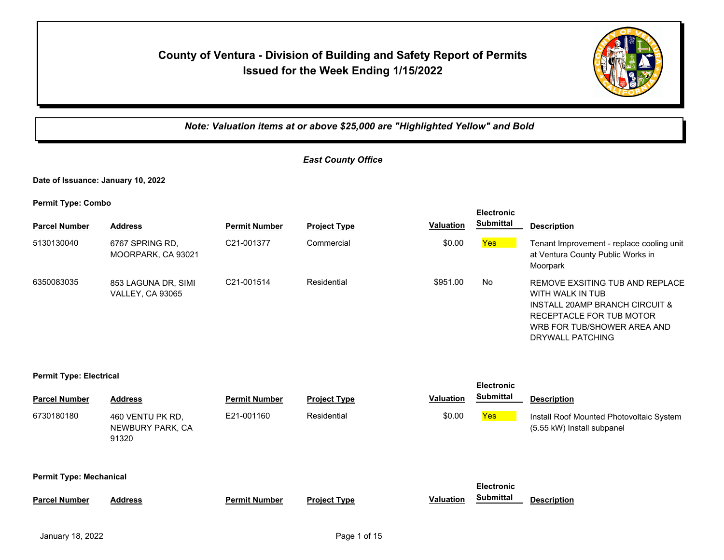# **County of Ventura - Division of Building and Safety Report of Permits Issued for the Week Ending 1/15/2022**



*Note: Valuation items at or above \$25,000 are "Highlighted Yellow" and Bold*

## *East County Office*

**Date of Issuance: January 10, 2022**

**Permit Type: Combo**

| <b>Parcel Number</b> | <b>Address</b>                                 | <b>Permit Number</b>    | <b>Project Type</b> | <b>Valuation</b> | <b>EIECITONIC</b><br><b>Submittal</b> | <b>Description</b>                                                                                                                                                   |
|----------------------|------------------------------------------------|-------------------------|---------------------|------------------|---------------------------------------|----------------------------------------------------------------------------------------------------------------------------------------------------------------------|
| 5130130040           | 6767 SPRING RD.<br>MOORPARK, CA 93021          | C21-001377              | Commercial          | \$0.00           | Yes                                   | Tenant Improvement - replace cooling unit<br>at Ventura County Public Works in<br>Moorpark                                                                           |
| 6350083035           | 853 LAGUNA DR, SIMI<br><b>VALLEY, CA 93065</b> | C <sub>21</sub> -001514 | Residential         | \$951.00         | No                                    | REMOVE EXSITING TUB AND REPLACE<br>WITH WALK IN TUB<br>INSTALL 20AMP BRANCH CIRCUIT &<br>RECEPTACLE FOR TUB MOTOR<br>WRB FOR TUB/SHOWER AREA AND<br>DRYWALL PATCHING |

**Electronic** 

#### **Permit Type: Electrical**

| <b>Parcel Number</b>           | <b>Address</b>                                | <b>Permit Number</b> | <b>Project Type</b> | <b>Valuation</b> | <b>Electronic</b><br><b>Submittal</b> | <b>Description</b>                                                     |
|--------------------------------|-----------------------------------------------|----------------------|---------------------|------------------|---------------------------------------|------------------------------------------------------------------------|
| 6730180180                     | 460 VENTU PK RD,<br>NEWBURY PARK, CA<br>91320 | E21-001160           | Residential         | \$0.00           | Yes                                   | Install Roof Mounted Photovoltaic System<br>(5.55 kW) Install subpanel |
| <b>Permit Type: Mechanical</b> |                                               |                      |                     |                  | <b>Electronic</b>                     |                                                                        |
| <b>Parcel Number</b>           | <b>Address</b>                                | <b>Permit Number</b> | <b>Project Type</b> | <b>Valuation</b> | <b>Submittal</b>                      | <b>Description</b>                                                     |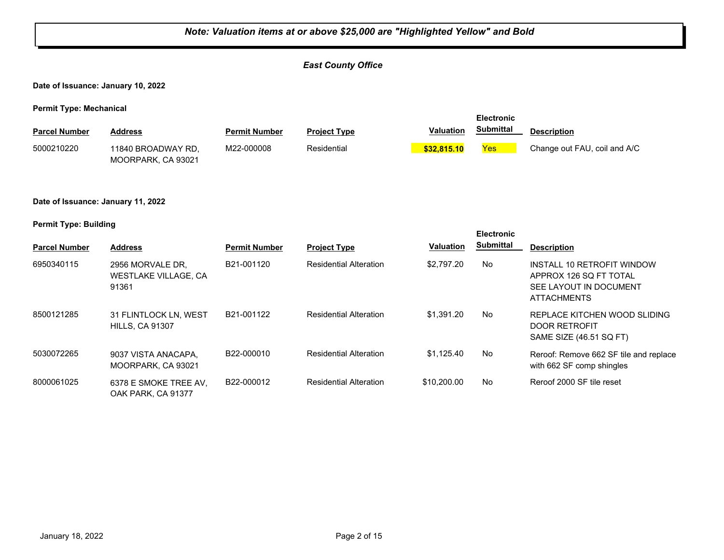## *Note: Valuation items at or above \$25,000 are "Highlighted Yellow" and Bold East County Office* **Date of Issuance: January 10, 2022 Permit Type: Mechanical Parcel Number Address <b>Permit Number Project Type Valuation Submittal** Description **Electronic Submittal** 11840 BROADWAY RD, MOORPARK, CA 93021 5000210220 M22-000008 Residential **\$32,815.10** Yes Change out FAU, coil and A/C **Date of Issuance: January 11, 2022 Permit Type: Building Parcel Number Address <b>Permit Number Project Type Valuation Submittal** Description **Electronic Submittal** 6950340115 2956 MORVALE DR, B21-001120 Residential Alteration \$2,797.20 No WESTLAKE VILLAGE, CA 91361 B21-001120 Residential Alteration \$2,797.20 No INSTALL 10 RETROFIT WINDOW APPROX 126 SQ FT TOTAL SEE LAYOUT IN DOCUMENT ATTACHMENTS 8500121285 31 FLINTLOCK LN, WEST B21-001122 Residential Alteration \$1,391.20 No HILLS, CA 91307 B21-001122 Residential Alteration \$1,391.20 REPLACE KITCHEN WOOD SLIDING DOOR RETROFIT SAME SIZE (46.51 SQ FT) 5030072265 9037 VISTA ANACAPA, B22-000010 Residential Alteration \$1,125.40 No MOORPARK, CA 93021 B22-000010 Residential Alteration \$1,125.40 No Reroof: Remove 662 SF tile and replace with 662 SF comp shingles 6378 E SMOKE TREE AV, 8000061025 B22-000012 Residential Alteration \$10,200.00 No Reroof 2000 SF tile reset OAK PARK, CA 91377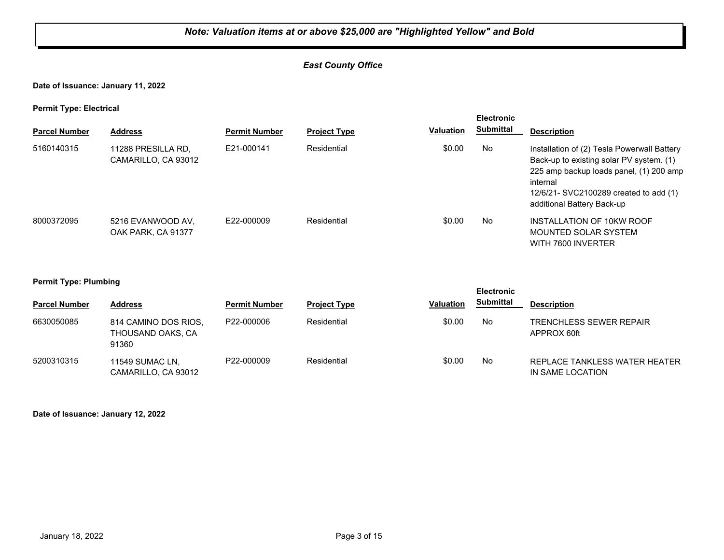## *East County Office*

**Date of Issuance: January 11, 2022**

**Permit Type: Electrical**

| . .                  |                                           |                      |                     |                  | <b>Electronic</b> |                                                                                                                                                                                                                        |
|----------------------|-------------------------------------------|----------------------|---------------------|------------------|-------------------|------------------------------------------------------------------------------------------------------------------------------------------------------------------------------------------------------------------------|
| <b>Parcel Number</b> | <b>Address</b>                            | <b>Permit Number</b> | <b>Project Type</b> | <b>Valuation</b> | <b>Submittal</b>  | <b>Description</b>                                                                                                                                                                                                     |
| 5160140315           | 11288 PRESILLA RD,<br>CAMARILLO, CA 93012 | F21-000141           | Residential         | \$0.00           | No                | Installation of (2) Tesla Powerwall Battery<br>Back-up to existing solar PV system. (1)<br>225 amp backup loads panel, (1) 200 amp<br>internal<br>12/6/21- SVC2100289 created to add (1)<br>additional Battery Back-up |
| 8000372095           | 5216 EVANWOOD AV.<br>OAK PARK, CA 91377   | F22-000009           | Residential         | \$0.00           | No                | INSTALLATION OF 10KW ROOF<br>MOUNTED SOLAR SYSTEM<br>WITH 7600 INVERTER                                                                                                                                                |

#### **Permit Type: Plumbing**

| - -                  |                                                    |                      |                     |                  | <b>Electronic</b> |                                                   |
|----------------------|----------------------------------------------------|----------------------|---------------------|------------------|-------------------|---------------------------------------------------|
| <b>Parcel Number</b> | <b>Address</b>                                     | <b>Permit Number</b> | <b>Project Type</b> | <b>Valuation</b> | <b>Submittal</b>  | <b>Description</b>                                |
| 6630050085           | 814 CAMINO DOS RIOS.<br>THOUSAND OAKS, CA<br>91360 | P22-000006           | Residential         | \$0.00           | No                | <b>TRENCHLESS SEWER REPAIR</b><br>APPROX 60ft     |
| 5200310315           | 11549 SUMAC LN,<br>CAMARILLO, CA 93012             | P22-000009           | Residential         | \$0.00           | No                | REPLACE TANKLESS WATER HEATER<br>IN SAME LOCATION |

**Date of Issuance: January 12, 2022**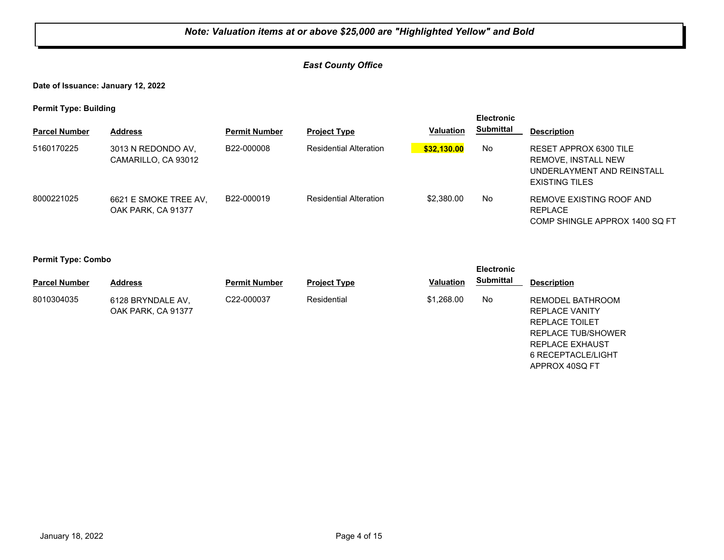## *East County Office*

**Date of Issuance: January 12, 2022**

**Permit Type: Building**

| . .                  |                                             |                      |                               |                  | <b>Electronic</b> |                                                                                               |
|----------------------|---------------------------------------------|----------------------|-------------------------------|------------------|-------------------|-----------------------------------------------------------------------------------------------|
| <b>Parcel Number</b> | <b>Address</b>                              | <b>Permit Number</b> | <b>Project Type</b>           | <b>Valuation</b> | <b>Submittal</b>  | <b>Description</b>                                                                            |
| 5160170225           | 3013 N REDONDO AV.<br>CAMARILLO, CA 93012   | B22-000008           | <b>Residential Alteration</b> | \$32,130.00      | No                | RESET APPROX 6300 TILE<br>REMOVE, INSTALL NEW<br>UNDERLAYMENT AND REINSTALL<br>EXISTING TILES |
| 8000221025           | 6621 E SMOKE TREE AV,<br>OAK PARK, CA 91377 | B22-000019           | <b>Residential Alteration</b> | \$2,380,00       | No                | REMOVE EXISTING ROOF AND<br><b>REPLACE</b><br>COMP SHINGLE APPROX 1400 SQ FT                  |

**Permit Type: Combo**

|                      |                                         | <b>Electronic</b>    |                     |                  |           |                                                                                                                    |
|----------------------|-----------------------------------------|----------------------|---------------------|------------------|-----------|--------------------------------------------------------------------------------------------------------------------|
| <b>Parcel Number</b> | <b>Address</b>                          | <b>Permit Number</b> | <b>Project Type</b> | <b>Valuation</b> | Submittal | <b>Description</b>                                                                                                 |
| 8010304035           | 6128 BRYNDALE AV,<br>OAK PARK, CA 91377 | C22-000037           | Residential         | \$1,268,00       | No        | REMODEL BATHROOM<br><b>REPLACE VANITY</b><br>REPLACE TOILET<br><b>REPLACE TUB/SHOWER</b><br><b>REPLACE EXHAUST</b> |

6 RECEPTACLE/LIGHT APPROX 40SQ FT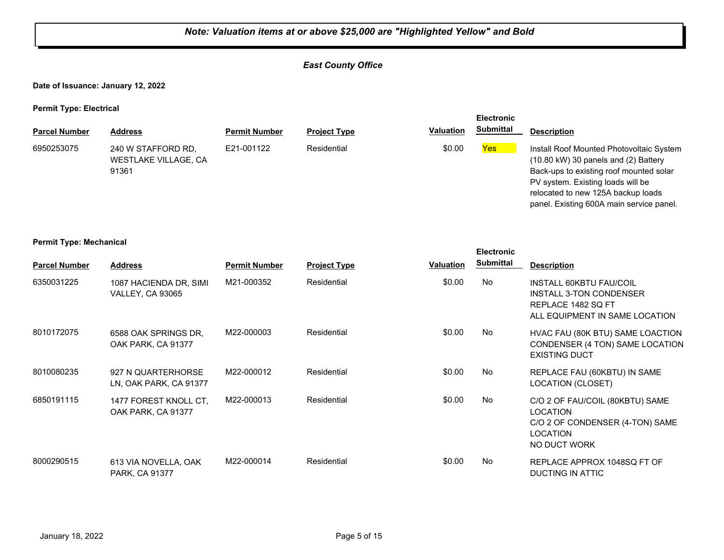## *East County Office*

**Date of Issuance: January 12, 2022**

**Permit Type: Electrical**

|                      |                                                     |                      |                     |                  | <b>Electronic</b> |                                                                                                                                                                                                                                                                |
|----------------------|-----------------------------------------------------|----------------------|---------------------|------------------|-------------------|----------------------------------------------------------------------------------------------------------------------------------------------------------------------------------------------------------------------------------------------------------------|
| <b>Parcel Number</b> | <b>Address</b>                                      | <b>Permit Number</b> | <b>Project Type</b> | <b>Valuation</b> | <b>Submittal</b>  | <b>Description</b>                                                                                                                                                                                                                                             |
| 6950253075           | 240 W STAFFORD RD.<br>WESTLAKE VILLAGE, CA<br>91361 | E21-001122           | Residential         | \$0.00           | <b>Yes</b>        | Install Roof Mounted Photovoltaic System<br>$(10.80 \text{ kW})$ 30 panels and $(2)$ Battery<br>Back-ups to existing roof mounted solar<br>PV system. Existing loads will be<br>relocated to new 125A backup loads<br>panel. Existing 600A main service panel. |

#### **Permit Type: Mechanical**

|                      |                                                   |                      |                     |                  | <b>Electronic</b> |                                                                                                                          |
|----------------------|---------------------------------------------------|----------------------|---------------------|------------------|-------------------|--------------------------------------------------------------------------------------------------------------------------|
| <b>Parcel Number</b> | <b>Address</b>                                    | <b>Permit Number</b> | <b>Project Type</b> | <b>Valuation</b> | <b>Submittal</b>  | <b>Description</b>                                                                                                       |
| 6350031225           | 1087 HACIENDA DR, SIMI<br><b>VALLEY, CA 93065</b> | M21-000352           | Residential         | \$0.00           | No                | INSTALL 60KBTU FAU/COIL<br>INSTALL 3-TON CONDENSER<br>REPLACE 1482 SQ FT<br>ALL EQUIPMENT IN SAME LOCATION               |
| 8010172075           | 6588 OAK SPRINGS DR.<br>OAK PARK, CA 91377        | M22-000003           | Residential         | \$0.00           | No.               | HVAC FAU (80K BTU) SAME LOACTION<br>CONDENSER (4 TON) SAME LOCATION<br><b>EXISTING DUCT</b>                              |
| 8010080235           | 927 N QUARTERHORSE<br>LN, OAK PARK, CA 91377      | M22-000012           | Residential         | \$0.00           | No                | REPLACE FAU (60KBTU) IN SAME<br>LOCATION (CLOSET)                                                                        |
| 6850191115           | 1477 FOREST KNOLL CT.<br>OAK PARK, CA 91377       | M22-000013           | Residential         | \$0.00           | No                | C/O 2 OF FAU/COIL (80KBTU) SAME<br><b>LOCATION</b><br>C/O 2 OF CONDENSER (4-TON) SAME<br><b>LOCATION</b><br>NO DUCT WORK |
| 8000290515           | 613 VIA NOVELLA, OAK<br>PARK, CA 91377            | M22-000014           | Residential         | \$0.00           | No                | REPLACE APPROX 1048SQ FT OF<br>DUCTING IN ATTIC                                                                          |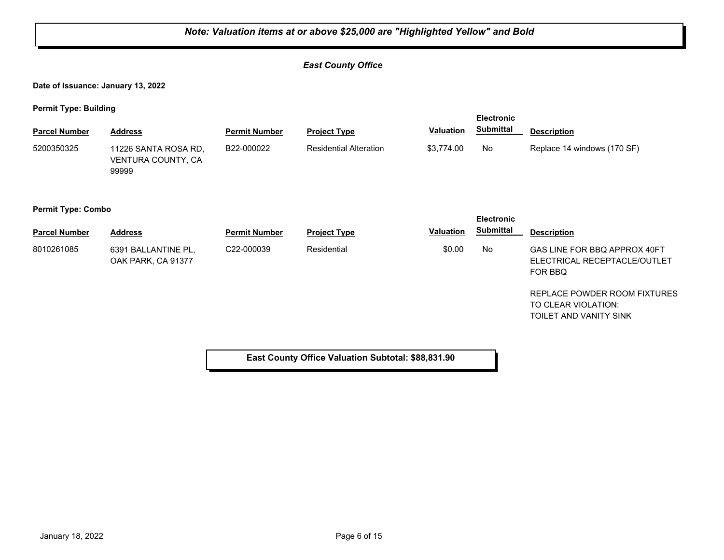## *East County Office*

**Date of Issuance: January 13, 2022**

**Permit Type: Building**

| <b>Parcel Number</b>      | <b>Address</b>                                      | <b>Permit Number</b> | <b>Project Type</b>                                | <b>Valuation</b> | <b>Electronic</b><br><b>Submittal</b> | <b>Description</b>                                                            |
|---------------------------|-----------------------------------------------------|----------------------|----------------------------------------------------|------------------|---------------------------------------|-------------------------------------------------------------------------------|
| 5200350325                | 11226 SANTA ROSA RD,<br>VENTURA COUNTY, CA<br>99999 | B22-000022           | <b>Residential Alteration</b>                      | \$3,774.00       | No                                    | Replace 14 windows (170 SF)                                                   |
| <b>Permit Type: Combo</b> |                                                     |                      |                                                    |                  | <b>Electronic</b>                     |                                                                               |
| <b>Parcel Number</b>      | <b>Address</b>                                      | <b>Permit Number</b> | <b>Project Type</b>                                | <b>Valuation</b> | <b>Submittal</b>                      | <b>Description</b>                                                            |
| 8010261085                | 6391 BALLANTINE PL.<br>OAK PARK, CA 91377           | C22-000039           | Residential                                        | \$0.00           | No                                    | GAS LINE FOR BBQ APPROX 40FT<br>ELECTRICAL RECEPTACLE/OUTLET<br>FOR BBQ       |
|                           |                                                     |                      |                                                    |                  |                                       | REPLACE POWDER ROOM FIXTURES<br>TO CLEAR VIOLATION:<br>TOILET AND VANITY SINK |
|                           |                                                     |                      | East County Office Valuation Subtotal: \$88,831.90 |                  |                                       |                                                                               |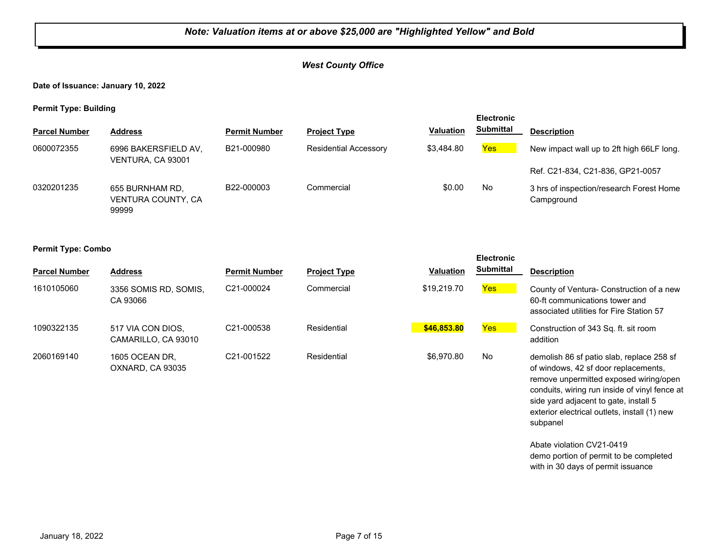#### *West County Office*

**Date of Issuance: January 10, 2022**

**Permit Type: Building**

| - -                  |                                                |                      |                              |                  | <b>Electronic</b> |                                                        |
|----------------------|------------------------------------------------|----------------------|------------------------------|------------------|-------------------|--------------------------------------------------------|
| <b>Parcel Number</b> | <b>Address</b>                                 | <b>Permit Number</b> | <b>Project Type</b>          | <b>Valuation</b> | <b>Submittal</b>  | <b>Description</b>                                     |
| 0600072355           | 6996 BAKERSFIELD AV,<br>VENTURA, CA 93001      | B21-000980           | <b>Residential Accessory</b> | \$3,484.80       | <b>Yes</b>        | New impact wall up to 2ft high 66LF long.              |
|                      |                                                |                      |                              |                  |                   | Ref. C21-834, C21-836, GP21-0057                       |
| 0320201235           | 655 BURNHAM RD.<br>VENTURA COUNTY, CA<br>99999 | B22-000003           | Commercial                   | \$0.00           | No                | 3 hrs of inspection/research Forest Home<br>Campground |

#### **Permit Type: Combo**

| <b>Parcel Number</b> | <b>Address</b>                           | <b>Permit Number</b>    | <b>Project Type</b> | <b>Valuation</b> | <b>Submittal</b> | <b>Description</b>                                                                                                     |
|----------------------|------------------------------------------|-------------------------|---------------------|------------------|------------------|------------------------------------------------------------------------------------------------------------------------|
| 1610105060           | 3356 SOMIS RD, SOMIS,<br>CA 93066        | C21-000024              | Commercial          | \$19,219.70      | <b>Yes</b>       | County of Ventura- Construction of a new<br>60-ft communications tower and<br>associated utilities for Fire Station 57 |
| 1090322135           | 517 VIA CON DIOS.<br>CAMARILLO, CA 93010 | C21-000538              | Residential         | \$46,853.80      | Yes              | Construction of 343 Sq. ft. sit room<br>addition                                                                       |
| 2060169140           | 1605 OCEAN DR.<br>OXNARD, CA 93035       | C <sub>21</sub> -001522 | Residential         | \$6,970.80       | No               | demolish 86 sf patio slab, replace 258 sf<br>of windows, 42 sf door replacements,                                      |

**Electronic** 

remove unpermitted exposed wiring/open conduits, wiring run inside of vinyl fence at side yard adjacent to gate, install 5 exterior electrical outlets, install (1) new

demo portion of permit to be completed with in 30 days of permit issuance

subpanel

Abate violation CV21-0419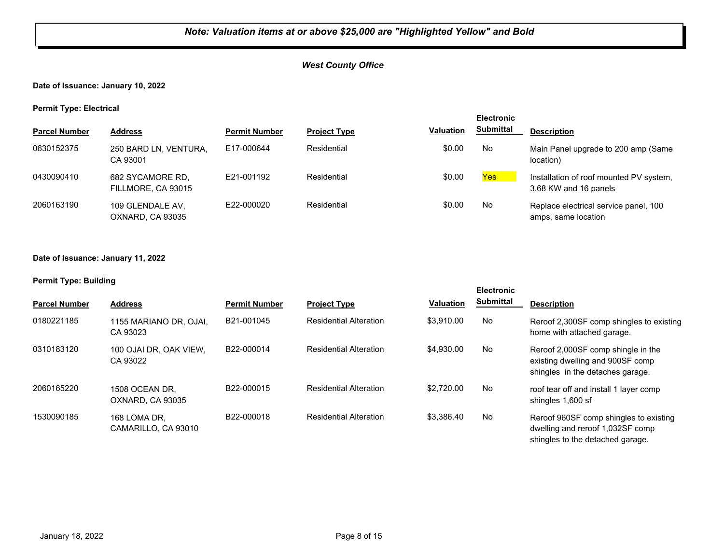## *West County Office*

## **Date of Issuance: January 10, 2022**

**Permit Type: Electrical**

|                      |                                        |                      |                     |                  | <b>Electronic</b> |                                                                  |
|----------------------|----------------------------------------|----------------------|---------------------|------------------|-------------------|------------------------------------------------------------------|
| <b>Parcel Number</b> | <b>Address</b>                         | <b>Permit Number</b> | <b>Project Type</b> | <b>Valuation</b> | <b>Submittal</b>  | <b>Description</b>                                               |
| 0630152375           | 250 BARD LN, VENTURA,<br>CA 93001      | E17-000644           | Residential         | \$0.00           | No                | Main Panel upgrade to 200 amp (Same<br>location)                 |
| 0430090410           | 682 SYCAMORE RD.<br>FILLMORE, CA 93015 | E21-001192           | Residential         | \$0.00           | <b>Yes</b>        | Installation of roof mounted PV system,<br>3.68 KW and 16 panels |
| 2060163190           | 109 GLENDALE AV,<br>OXNARD, CA 93035   | E22-000020           | Residential         | \$0.00           | No                | Replace electrical service panel, 100<br>amps, same location     |

#### **Date of Issuance: January 11, 2022**

#### **Permit Type: Building**

|                      |                                     |                      |                               |                  | <b>Electronic</b> |                                                                                                                |
|----------------------|-------------------------------------|----------------------|-------------------------------|------------------|-------------------|----------------------------------------------------------------------------------------------------------------|
| <b>Parcel Number</b> | <b>Address</b>                      | <b>Permit Number</b> | <b>Project Type</b>           | <b>Valuation</b> | <b>Submittal</b>  | <b>Description</b>                                                                                             |
| 0180221185           | 1155 MARIANO DR. OJAI.<br>CA 93023  | B21-001045           | <b>Residential Alteration</b> | \$3.910.00       | No                | Reroof 2,300SF comp shingles to existing<br>home with attached garage.                                         |
| 0310183120           | 100 OJAI DR. OAK VIEW.<br>CA 93022  | B22-000014           | <b>Residential Alteration</b> | \$4,930.00       | No                | Reroof 2,000SF comp shingle in the<br>existing dwelling and 900SF comp<br>shingles in the detaches garage.     |
| 2060165220           | 1508 OCEAN DR.<br>OXNARD, CA 93035  | B22-000015           | <b>Residential Alteration</b> | \$2,720.00       | No                | roof tear off and install 1 layer comp<br>shingles 1,600 sf                                                    |
| 1530090185           | 168 LOMA DR.<br>CAMARILLO, CA 93010 | B22-000018           | <b>Residential Alteration</b> | \$3.386.40       | No.               | Reroof 960SF comp shingles to existing<br>dwelling and reroof 1,032SF comp<br>shingles to the detached garage. |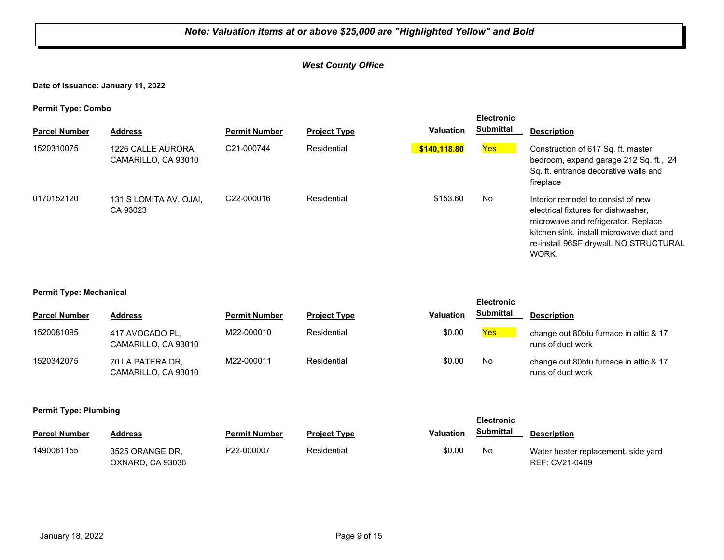## *West County Office*

**Date of Issuance: January 11, 2022**

**Permit Type: Combo**

| . .<br><b>Parcel Number</b> | <b>Address</b>                            | <b>Permit Number</b> | <b>Project Type</b> | Valuation    | <b>Electronic</b><br><b>Submittal</b> | <b>Description</b>                                                                                                                                                                                              |
|-----------------------------|-------------------------------------------|----------------------|---------------------|--------------|---------------------------------------|-----------------------------------------------------------------------------------------------------------------------------------------------------------------------------------------------------------------|
| 1520310075                  | 1226 CALLE AURORA.<br>CAMARILLO, CA 93010 | C21-000744           | Residential         | \$140.118.80 | <b>Yes</b>                            | Construction of 617 Sq. ft. master<br>bedroom, expand garage 212 Sq. ft., 24<br>Sq. ft. entrance decorative walls and<br>fireplace                                                                              |
| 0170152120                  | 131 S LOMITA AV. OJAI.<br>CA 93023        | C22-000016           | Residential         | \$153.60     | No                                    | Interior remodel to consist of new<br>electrical fixtures for dishwasher,<br>microwave and refrigerator. Replace<br>kitchen sink, install microwave duct and<br>re-install 96SF drywall. NO STRUCTURAL<br>WORK. |

#### **Permit Type: Mechanical**

|                      |                                         |                      |                     |                  | <b>Electronic</b> |                                                             |
|----------------------|-----------------------------------------|----------------------|---------------------|------------------|-------------------|-------------------------------------------------------------|
| <b>Parcel Number</b> | <b>Address</b>                          | <b>Permit Number</b> | <b>Project Type</b> | <b>Valuation</b> | <b>Submittal</b>  | <b>Description</b>                                          |
| 1520081095           | 417 AVOCADO PL.<br>CAMARILLO, CA 93010  | M22-000010           | Residential         | \$0.00           | <b>Yes</b>        | change out 80btu furnace in attic & 17<br>runs of duct work |
| 1520342075           | 70 LA PATERA DR,<br>CAMARILLO, CA 93010 | M22-000011           | Residential         | \$0.00           | No                | change out 80btu furnace in attic & 17<br>runs of duct work |

#### **Permit Type: Plumbing**

| . .                  |                                     |                      |                     |                  | <b>Electronic</b> |                                                       |
|----------------------|-------------------------------------|----------------------|---------------------|------------------|-------------------|-------------------------------------------------------|
| <b>Parcel Number</b> | <b>Address</b>                      | <b>Permit Number</b> | <b>Project Type</b> | <b>Valuation</b> | Submittal         | <b>Description</b>                                    |
| 1490061155           | 3525 ORANGE DR.<br>OXNARD, CA 93036 | P22-000007           | Residential         | \$0.00           | No                | Water heater replacement, side yard<br>REF: CV21-0409 |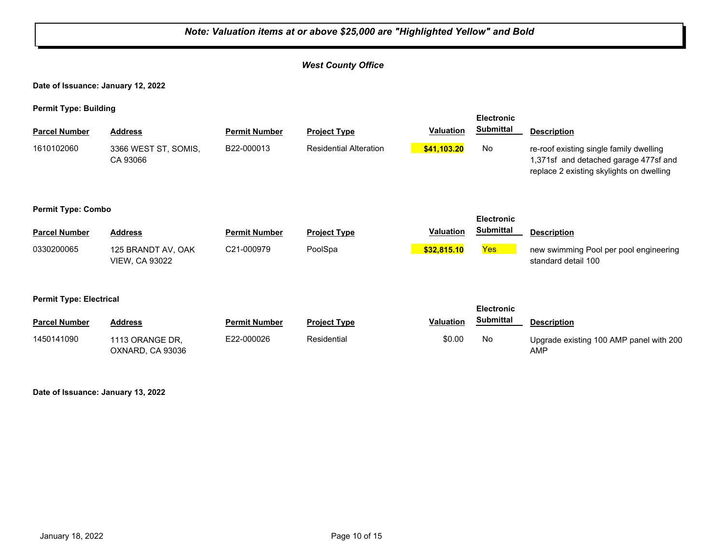## *Note: Valuation items at or above \$25,000 are "Highlighted Yellow" and Bold West County Office* **Date of Issuance: January 12, 2022 Permit Type: Building Parcel Number Address <b>Permit Number Project Type Valuation Submittal** Description **Electronic Submittal** 1610102060 3366 WEST ST, SOMIS, B22-000013 Residential Alteration <mark> \$41,103.20</mark> No CA 93066 B22-000013 Residential Alteration **\$41,103.20** No re-roof existing single family dwelling 1,371sf and detached garage 477sf and replace 2 existing skylights on dwelling **Permit Type: Combo Parcel Number Address <b>Permit Number Project Type Valuation Submittal** Description **Electronic Submittal** 0330200065 125 BRANDT AV, OAK C21-000979 PoolSpa <mark> \$32,815.10</mark> <u>Yes</u> VIEW, CA 93022 C21-000979 PoolSpa **business PoolSpare Pool Example 21-000979** Pool per pool engineering standard detail 100 **Permit Type: Electrical Parcel Number Address <b>Permit Number Project Type Valuation Submittal** Description **Electronic Submittal** 1450141090 1113 ORANGE DR, E22-000026 Residential \$0.00 No OXNARD, CA 93036 E22-000026 Residential **Residential** \$0.00 No Upgrade existing 100 AMP panel with 200 AMP

**Date of Issuance: January 13, 2022**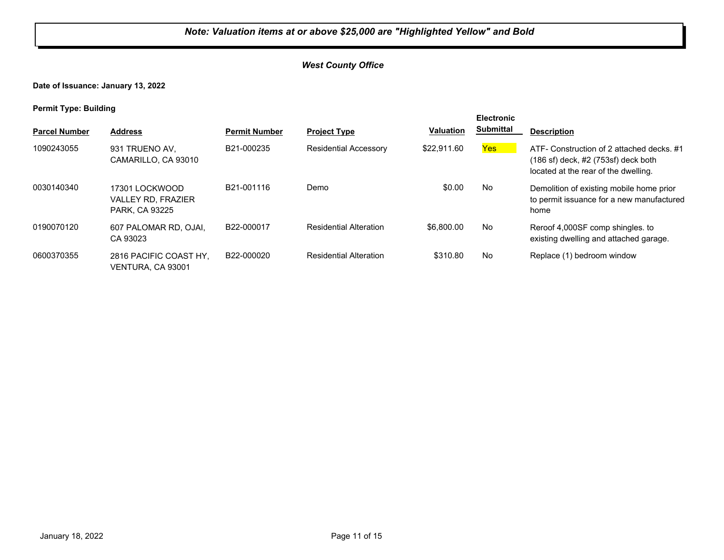## *West County Office*

**Date of Issuance: January 13, 2022**

**Permit Type: Building**

| . .                  |                                                                      |                      |                               |                  | <b>Electronic</b> |                                                                                                                                       |
|----------------------|----------------------------------------------------------------------|----------------------|-------------------------------|------------------|-------------------|---------------------------------------------------------------------------------------------------------------------------------------|
| <b>Parcel Number</b> | <b>Address</b>                                                       | <b>Permit Number</b> | <b>Project Type</b>           | <b>Valuation</b> | <b>Submittal</b>  | <b>Description</b>                                                                                                                    |
| 1090243055           | 931 TRUENO AV,<br>CAMARILLO, CA 93010                                | B21-000235           | <b>Residential Accessory</b>  | \$22,911.60      | Yes               | ATF- Construction of 2 attached decks, #1<br>$(186 \text{ sf})$ deck, $\#2$ (753sf) deck both<br>located at the rear of the dwelling. |
| 0030140340           | 17301 LOCKWOOD<br><b>VALLEY RD. FRAZIER</b><br><b>PARK, CA 93225</b> | B21-001116           | Demo                          | \$0.00           | No                | Demolition of existing mobile home prior<br>to permit issuance for a new manufactured<br>home                                         |
| 0190070120           | 607 PALOMAR RD, OJAI.<br>CA 93023                                    | B22-000017           | <b>Residential Alteration</b> | \$6,800,00       | No                | Reroof 4,000SF comp shingles, to<br>existing dwelling and attached garage.                                                            |
| 0600370355           | 2816 PACIFIC COAST HY.<br>VENTURA, CA 93001                          | B22-000020           | <b>Residential Alteration</b> | \$310.80         | <b>No</b>         | Replace (1) bedroom window                                                                                                            |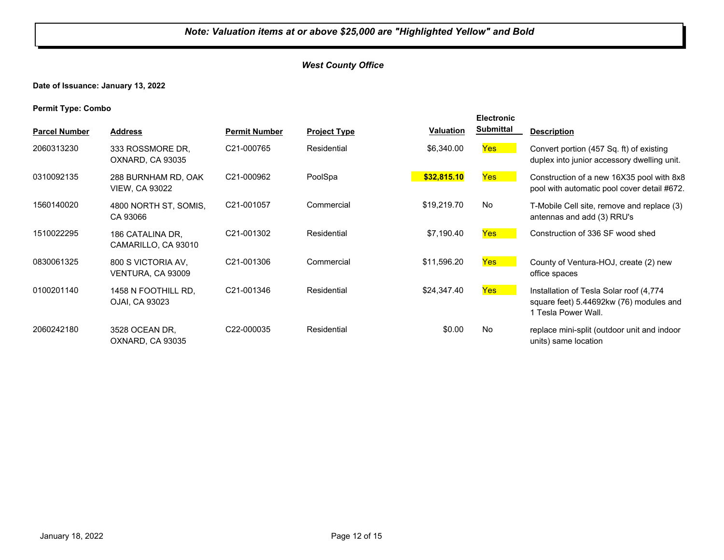## *West County Office*

## **Date of Issuance: January 13, 2022**

**Permit Type: Combo**

|                      |                                              |                         |                     |                  | <b>Electronic</b> |                                                                                                           |
|----------------------|----------------------------------------------|-------------------------|---------------------|------------------|-------------------|-----------------------------------------------------------------------------------------------------------|
| <b>Parcel Number</b> | <b>Address</b>                               | <b>Permit Number</b>    | <b>Project Type</b> | <b>Valuation</b> | <b>Submittal</b>  | <b>Description</b>                                                                                        |
| 2060313230           | 333 ROSSMORE DR.<br>OXNARD, CA 93035         | C21-000765              | Residential         | \$6,340.00       | Yes               | Convert portion (457 Sq. ft) of existing<br>duplex into junior accessory dwelling unit.                   |
| 0310092135           | 288 BURNHAM RD, OAK<br><b>VIEW, CA 93022</b> | C21-000962              | PoolSpa             | \$32,815.10      | Yes               | Construction of a new 16X35 pool with 8x8<br>pool with automatic pool cover detail #672.                  |
| 1560140020           | 4800 NORTH ST, SOMIS,<br>CA 93066            | C21-001057              | Commercial          | \$19,219.70      | <b>No</b>         | T-Mobile Cell site, remove and replace (3)<br>antennas and add (3) RRU's                                  |
| 1510022295           | 186 CATALINA DR.<br>CAMARILLO, CA 93010      | C21-001302              | Residential         | \$7,190.40       | Yes               | Construction of 336 SF wood shed                                                                          |
| 0830061325           | 800 S VICTORIA AV,<br>VENTURA, CA 93009      | C21-001306              | Commercial          | \$11,596.20      | Yes               | County of Ventura-HOJ, create (2) new<br>office spaces                                                    |
| 0100201140           | 1458 N FOOTHILL RD.<br>OJAI, CA 93023        | C <sub>21</sub> -001346 | Residential         | \$24,347.40      | Yes               | Installation of Tesla Solar roof (4,774<br>square feet) 5.44692kw (76) modules and<br>1 Tesla Power Wall. |
| 2060242180           | 3528 OCEAN DR.<br>OXNARD, CA 93035           | C22-000035              | Residential         | \$0.00           | No                | replace mini-split (outdoor unit and indoor<br>units) same location                                       |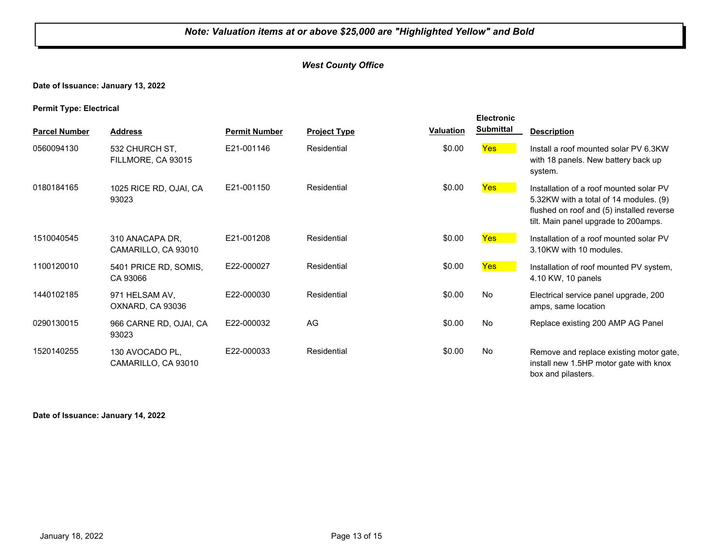## *West County Office*

## **Date of Issuance: January 13, 2022**

#### **Permit Type: Electrical**

| <b>Parcel Number</b> | <b>Address</b>                         | <b>Permit Number</b> | <b>Project Type</b> | Valuation | <b>Electronic</b><br><b>Submittal</b> | <b>Description</b>                                                                                                                                                     |
|----------------------|----------------------------------------|----------------------|---------------------|-----------|---------------------------------------|------------------------------------------------------------------------------------------------------------------------------------------------------------------------|
|                      |                                        |                      |                     |           |                                       |                                                                                                                                                                        |
| 0560094130           | 532 CHURCH ST.<br>FILLMORE, CA 93015   | E21-001146           | Residential         | \$0.00    | Yes                                   | Install a roof mounted solar PV 6.3KW<br>with 18 panels. New battery back up<br>system.                                                                                |
| 0180184165           | 1025 RICE RD, OJAI, CA<br>93023        | E21-001150           | Residential         | \$0.00    | Yes                                   | Installation of a roof mounted solar PV<br>5.32KW with a total of 14 modules. (9)<br>flushed on roof and (5) installed reverse<br>tilt. Main panel upgrade to 200amps. |
| 1510040545           | 310 ANACAPA DR.<br>CAMARILLO, CA 93010 | E21-001208           | Residential         | \$0.00    | <b>Yes</b>                            | Installation of a roof mounted solar PV<br>3.10KW with 10 modules.                                                                                                     |
| 1100120010           | 5401 PRICE RD, SOMIS,<br>CA 93066      | E22-000027           | Residential         | \$0.00    | Yes                                   | Installation of roof mounted PV system,<br>4.10 KW, 10 panels                                                                                                          |
| 1440102185           | 971 HELSAM AV,<br>OXNARD, CA 93036     | E22-000030           | Residential         | \$0.00    | No                                    | Electrical service panel upgrade, 200<br>amps, same location                                                                                                           |
| 0290130015           | 966 CARNE RD, OJAI, CA<br>93023        | E22-000032           | AG                  | \$0.00    | No.                                   | Replace existing 200 AMP AG Panel                                                                                                                                      |
| 1520140255           | 130 AVOCADO PL,<br>CAMARILLO, CA 93010 | E22-000033           | Residential         | \$0.00    | No                                    | Remove and replace existing motor gate,<br>install new 1.5HP motor gate with knox<br>box and pilasters.                                                                |

#### **Date of Issuance: January 14, 2022**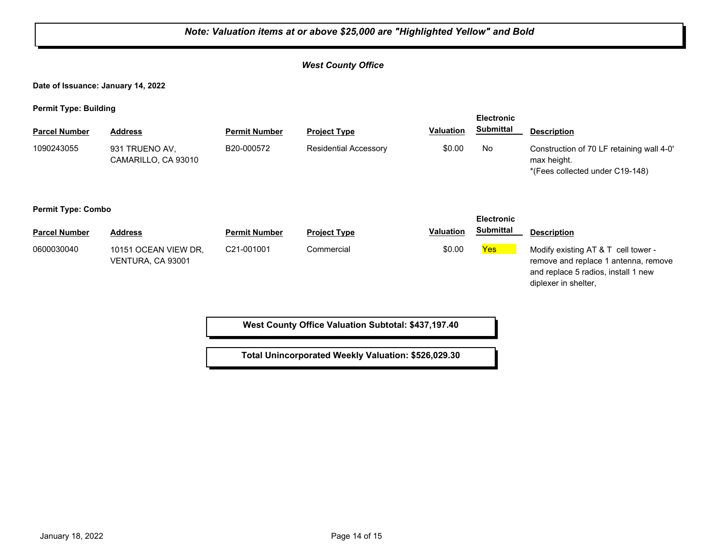## *Note: Valuation items at or above \$25,000 are "Highlighted Yellow" and Bold West County Office* **Date of Issuance: January 14, 2022 Permit Type: Building Parcel Number Address <b>Permit Number Project Type Valuation Submittal** Description **Electronic Submittal** 931 TRUENO AV, CAMARILLO, CA 93010 B20-000572 Residential Accessory \$0.00 No Construction of 70 LF retaining wall 4-0' max height. \*(Fees collected under C19-148) 1090243055 931 TRUENO AV, B20-000572 Residential Accessory **Permit Type: Combo Parcel Number Address <b>Permit Number Project Type Valuation Submittal** Description **Electronic Submittal** 0600030040 10151 OCEAN VIEW DR, C21-001001 Commercial \$0.00 <mark>Yes</mark> VENTURA, CA 93001 C21-001001 Commercial **Example 20.00** Commercial \$0.00 Yes Modify existing AT & T cell tower remove and replace 1 antenna, remove and replace 5 radios, install 1 new diplexer in shelter, **West County Office Valuation Subtotal: \$437,197.40**

**Total Unincorporated Weekly Valuation: \$526,029.30**